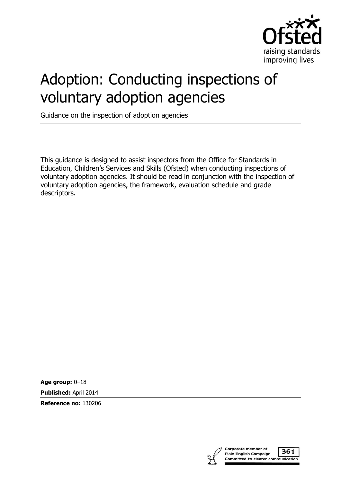

# Adoption: Conducting inspections of voluntary adoption agencies

Guidance on the inspection of adoption agencies

This guidance is designed to assist inspectors from the Office for Standards in Education, Children's Services and Skills (Ofsted) when conducting inspections of voluntary adoption agencies. It should be read in conjunction with the inspection of voluntary adoption agencies, the framework, evaluation schedule and grade descriptors.

**Age group:** 0–18

**Published:** April 2014

**Reference no:** 130206

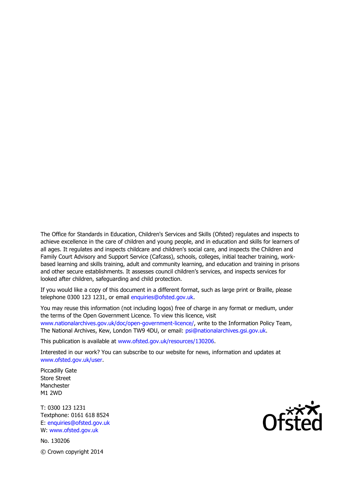The Office for Standards in Education, Children's Services and Skills (Ofsted) regulates and inspects to achieve excellence in the care of children and young people, and in education and skills for learners of all ages. It regulates and inspects childcare and children's social care, and inspects the Children and Family Court Advisory and Support Service (Cafcass), schools, colleges, initial teacher training, workbased learning and skills training, adult and community learning, and education and training in prisons and other secure establishments. It assesses council children's services, and inspects services for looked after children, safeguarding and child protection.

If you would like a copy of this document in a different format, such as large print or Braille, please telephone 0300 123 1231, or email enquiries@ofsted.gov.uk.

You may reuse this information (not including logos) free of charge in any format or medium, under the terms of the Open Government Licence. To view this licence, visit www.nationalarchives.gov.uk/doc/open-government-licence/, write to the Information Policy Team, The National Archives, Kew, London TW9 4DU, or email: psi@nationalarchives.gsi.gov.uk.

This publication is available at www.ofsted.gov.uk/resources/130206.

Interested in our work? You can subscribe to our website for news, information and updates at www.ofsted.gov.uk/user.

Piccadilly Gate Store Street Manchester M1 2WD

T: 0300 123 1231 Textphone: 0161 618 8524 E: enquiries@ofsted.gov.uk W: www.ofsted.gov.uk

No. 130206 © Crown copyright 2014

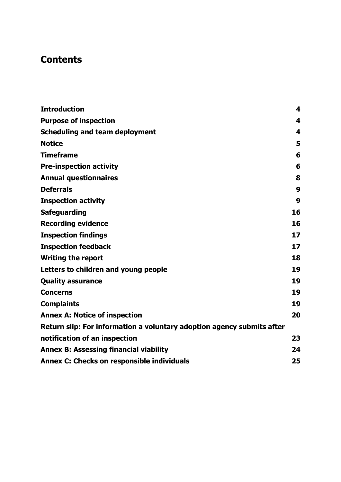# **Contents**

| <b>Introduction</b>                                                    | 4  |
|------------------------------------------------------------------------|----|
| <b>Purpose of inspection</b>                                           | 4  |
| <b>Scheduling and team deployment</b>                                  | 4  |
| <b>Notice</b>                                                          | 5  |
| <b>Timeframe</b>                                                       | 6  |
| <b>Pre-inspection activity</b>                                         | 6  |
| <b>Annual questionnaires</b>                                           | 8  |
| <b>Deferrals</b>                                                       | 9  |
| <b>Inspection activity</b>                                             | 9  |
| <b>Safeguarding</b>                                                    | 16 |
| <b>Recording evidence</b>                                              | 16 |
| <b>Inspection findings</b>                                             | 17 |
| <b>Inspection feedback</b>                                             | 17 |
| <b>Writing the report</b>                                              | 18 |
| Letters to children and young people                                   | 19 |
| <b>Quality assurance</b>                                               | 19 |
| <b>Concerns</b>                                                        | 19 |
| <b>Complaints</b>                                                      | 19 |
| <b>Annex A: Notice of inspection</b>                                   | 20 |
| Return slip: For information a voluntary adoption agency submits after |    |
| notification of an inspection                                          | 23 |
| <b>Annex B: Assessing financial viability</b>                          | 24 |
| Annex C: Checks on responsible individuals                             | 25 |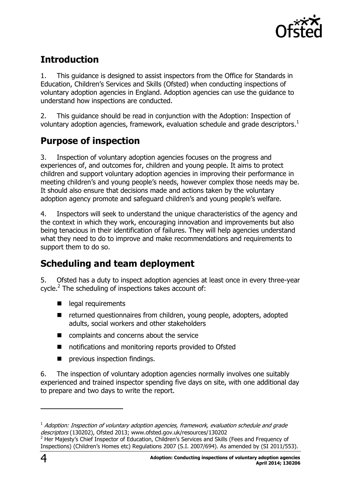

# <span id="page-3-0"></span>**Introduction**

1. This guidance is designed to assist inspectors from the Office for Standards in Education, Children's Services and Skills (Ofsted) when conducting inspections of voluntary adoption agencies in England. Adoption agencies can use the guidance to understand how inspections are conducted.

2. This guidance should be read in conjunction with the Adoption: Inspection of voluntary adoption agencies, framework, evaluation schedule and grade descriptors.<sup>1</sup>

# <span id="page-3-1"></span>**Purpose of inspection**

3. Inspection of voluntary adoption agencies focuses on the progress and experiences of, and outcomes for, children and young people. It aims to protect children and support voluntary adoption agencies in improving their performance in meeting children's and young people's needs, however complex those needs may be. It should also ensure that decisions made and actions taken by the voluntary adoption agency promote and safeguard children's and young people's welfare.

4. Inspectors will seek to understand the unique characteristics of the agency and the context in which they work, encouraging innovation and improvements but also being tenacious in their identification of failures. They will help agencies understand what they need to do to improve and make recommendations and requirements to support them to do so.

### <span id="page-3-2"></span>**Scheduling and team deployment**

5. Ofsted has a duty to inspect adoption agencies at least once in every three-year cycle.<sup>2</sup> The scheduling of inspections takes account of:

- egal requirements
- $\blacksquare$  returned questionnaires from children, young people, adopters, adopted adults, social workers and other stakeholders
- complaints and concerns about the service
- notifications and monitoring reports provided to Ofsted
- **P** previous inspection findings.

6. The inspection of voluntary adoption agencies normally involves one suitably experienced and trained inspector spending five days on site, with one additional day to prepare and two days to write the report.

-

 $^{\rm 1}$  Adoption: Inspection of voluntary adoption agencies, framework, evaluation schedule and grade descriptors (130202), Ofsted 2013; www.ofsted.gov.uk/resources/130202

 $2$  Her Majesty's Chief Inspector of Education, Children's Services and Skills (Fees and Frequency of Inspections) (Children's Homes etc) Regulations 2007 (S.I. 2007/694). As amended by (SI 2011/553).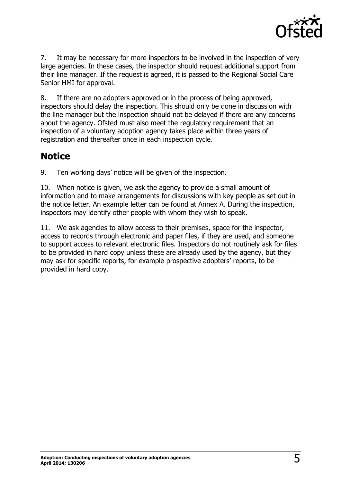

7. It may be necessary for more inspectors to be involved in the inspection of very large agencies. In these cases, the inspector should request additional support from their line manager. If the request is agreed, it is passed to the Regional Social Care Senior HMI for approval.

8. If there are no adopters approved or in the process of being approved, inspectors should delay the inspection. This should only be done in discussion with the line manager but the inspection should not be delayed if there are any concerns about the agency. Ofsted must also meet the regulatory requirement that an inspection of a voluntary adoption agency takes place within three years of registration and thereafter once in each inspection cycle.

#### <span id="page-4-0"></span>**Notice**

9. Ten working days' notice will be given of the inspection.

10. When notice is given, we ask the agency to provide a small amount of information and to make arrangements for discussions with key people as set out in the notice letter. An example letter can be found at Annex A. During the inspection, inspectors may identify other people with whom they wish to speak.

11. We ask agencies to allow access to their premises, space for the inspector, access to records through electronic and paper files, if they are used, and someone to support access to relevant electronic files. Inspectors do not routinely ask for files to be provided in hard copy unless these are already used by the agency, but they may ask for specific reports, for example prospective adopters' reports, to be provided in hard copy.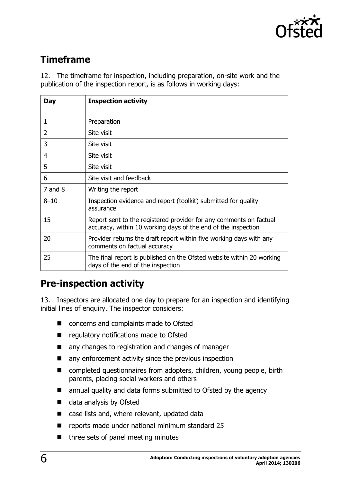

# <span id="page-5-0"></span>**Timeframe**

12. The timeframe for inspection, including preparation, on-site work and the publication of the inspection report, is as follows in working days:

| <b>Day</b>  | <b>Inspection activity</b>                                                                                                          |
|-------------|-------------------------------------------------------------------------------------------------------------------------------------|
| 1           | Preparation                                                                                                                         |
| 2           | Site visit                                                                                                                          |
| 3           | Site visit                                                                                                                          |
| 4           | Site visit                                                                                                                          |
| 5           | Site visit                                                                                                                          |
| 6           | Site visit and feedback                                                                                                             |
| $7$ and $8$ | Writing the report                                                                                                                  |
| $8 - 10$    | Inspection evidence and report (toolkit) submitted for quality<br>assurance                                                         |
| 15          | Report sent to the registered provider for any comments on factual<br>accuracy, within 10 working days of the end of the inspection |
| 20          | Provider returns the draft report within five working days with any<br>comments on factual accuracy                                 |
| 25          | The final report is published on the Ofsted website within 20 working<br>days of the end of the inspection                          |

### <span id="page-5-1"></span>**Pre-inspection activity**

13. Inspectors are allocated one day to prepare for an inspection and identifying initial lines of enquiry. The inspector considers:

- concerns and complaints made to Ofsted
- **E** regulatory notifications made to Ofsted
- any changes to registration and changes of manager
- any enforcement activity since the previous inspection
- completed questionnaires from adopters, children, young people, birth parents, placing social workers and others
- annual quality and data forms submitted to Ofsted by the agency
- data analysis by Ofsted
- case lists and, where relevant, updated data
- reports made under national minimum standard 25
- three sets of panel meeting minutes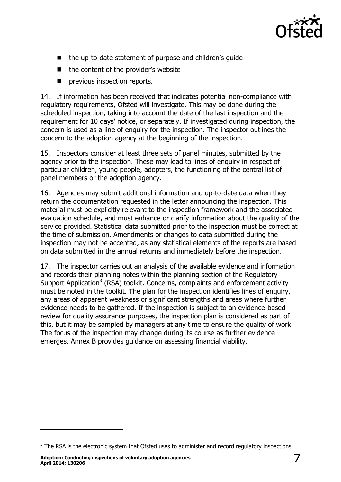

- the up-to-date statement of purpose and children's guide
- the content of the provider's website
- **P** previous inspection reports.

14. If information has been received that indicates potential non-compliance with regulatory requirements, Ofsted will investigate. This may be done during the scheduled inspection, taking into account the date of the last inspection and the requirement for 10 days' notice, or separately. If investigated during inspection, the concern is used as a line of enquiry for the inspection. The inspector outlines the concern to the adoption agency at the beginning of the inspection.

15. Inspectors consider at least three sets of panel minutes, submitted by the agency prior to the inspection. These may lead to lines of enquiry in respect of particular children, young people, adopters, the functioning of the central list of panel members or the adoption agency.

16. Agencies may submit additional information and up-to-date data when they return the documentation requested in the letter announcing the inspection. This material must be explicitly relevant to the inspection framework and the associated evaluation schedule, and must enhance or clarify information about the quality of the service provided. Statistical data submitted prior to the inspection must be correct at the time of submission. Amendments or changes to data submitted during the inspection may not be accepted, as any statistical elements of the reports are based on data submitted in the annual returns and immediately before the inspection.

17. The inspector carries out an analysis of the available evidence and information and records their planning notes within the planning section of the Regulatory Support Application<sup>3</sup> (RSA) toolkit. Concerns, complaints and enforcement activity must be noted in the toolkit. The plan for the inspection identifies lines of enquiry, any areas of apparent weakness or significant strengths and areas where further evidence needs to be gathered. If the inspection is subject to an evidence-based review for quality assurance purposes, the inspection plan is considered as part of this, but it may be sampled by managers at any time to ensure the quality of work. The focus of the inspection may change during its course as further evidence emerges. Annex B provides guidance on assessing financial viability.

j

 $3$  The RSA is the electronic system that Ofsted uses to administer and record regulatory inspections.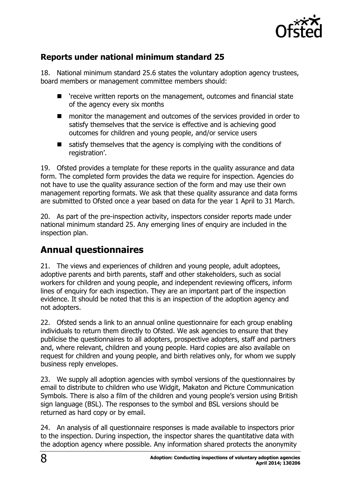

#### **Reports under national minimum standard 25**

18. National minimum standard 25.6 states the voluntary adoption agency trustees, board members or management committee members should:

- 'receive written reports on the management, outcomes and financial state of the agency every six months
- monitor the management and outcomes of the services provided in order to satisfy themselves that the service is effective and is achieving good outcomes for children and young people, and/or service users
- satisfy themselves that the agency is complying with the conditions of registration'.

19. Ofsted provides a template for these reports in the quality assurance and data form. The completed form provides the data we require for inspection. Agencies do not have to use the quality assurance section of the form and may use their own management reporting formats. We ask that these quality assurance and data forms are submitted to Ofsted once a year based on data for the year 1 April to 31 March.

20. As part of the pre-inspection activity, inspectors consider reports made under national minimum standard 25. Any emerging lines of enquiry are included in the inspection plan.

### <span id="page-7-0"></span>**Annual questionnaires**

21. The views and experiences of children and young people, adult adoptees, adoptive parents and birth parents, staff and other stakeholders, such as social workers for children and young people, and independent reviewing officers, inform lines of enquiry for each inspection. They are an important part of the inspection evidence. It should be noted that this is an inspection of the adoption agency and not adopters.

22. Ofsted sends a link to an annual online questionnaire for each group enabling individuals to return them directly to Ofsted. We ask agencies to ensure that they publicise the questionnaires to all adopters, prospective adopters, staff and partners and, where relevant, children and young people. Hard copies are also available on request for children and young people, and birth relatives only, for whom we supply business reply envelopes.

23. We supply all adoption agencies with symbol versions of the questionnaires by email to distribute to children who use Widgit, Makaton and Picture Communication Symbols. There is also a film of the children and young people's version using British sign language (BSL). The responses to the symbol and BSL versions should be returned as hard copy or by email.

24. An analysis of all questionnaire responses is made available to inspectors prior to the inspection. During inspection, the inspector shares the quantitative data with the adoption agency where possible. Any information shared protects the anonymity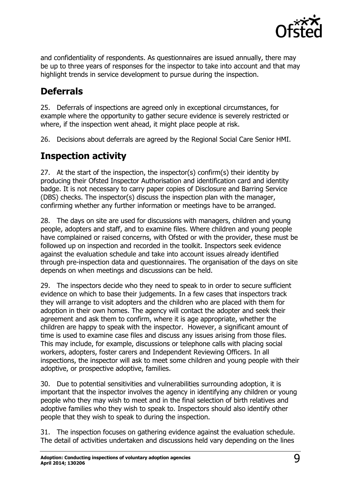

and confidentiality of respondents. As questionnaires are issued annually, there may be up to three years of responses for the inspector to take into account and that may highlight trends in service development to pursue during the inspection.

### <span id="page-8-0"></span>**Deferrals**

25. Deferrals of inspections are agreed only in exceptional circumstances, for example where the opportunity to gather secure evidence is severely restricted or where, if the inspection went ahead, it might place people at risk.

26. Decisions about deferrals are agreed by the Regional Social Care Senior HMI.

# <span id="page-8-1"></span>**Inspection activity**

27. At the start of the inspection, the inspector(s) confirm(s) their identity by producing their Ofsted Inspector Authorisation and identification card and identity badge. It is not necessary to carry paper copies of Disclosure and Barring Service (DBS) checks. The inspector(s) discuss the inspection plan with the manager, confirming whether any further information or meetings have to be arranged.

28. The days on site are used for discussions with managers, children and young people, adopters and staff, and to examine files. Where children and young people have complained or raised concerns, with Ofsted or with the provider, these must be followed up on inspection and recorded in the toolkit. Inspectors seek evidence against the evaluation schedule and take into account issues already identified through pre-inspection data and questionnaires. The organisation of the days on site depends on when meetings and discussions can be held.

29. The inspectors decide who they need to speak to in order to secure sufficient evidence on which to base their judgements. In a few cases that inspectors track they will arrange to visit adopters and the children who are placed with them for adoption in their own homes. The agency will contact the adopter and seek their agreement and ask them to confirm, where it is age appropriate, whether the children are happy to speak with the inspector. However, a significant amount of time is used to examine case files and discuss any issues arising from those files. This may include, for example, discussions or telephone calls with placing social workers, adopters, foster carers and Independent Reviewing Officers. In all inspections, the inspector will ask to meet some children and young people with their adoptive, or prospective adoptive, families.

30. Due to potential sensitivities and vulnerabilities surrounding adoption, it is important that the inspector involves the agency in identifying any children or young people who they may wish to meet and in the final selection of birth relatives and adoptive families who they wish to speak to. Inspectors should also identify other people that they wish to speak to during the inspection.

31. The inspection focuses on gathering evidence against the evaluation schedule. The detail of activities undertaken and discussions held vary depending on the lines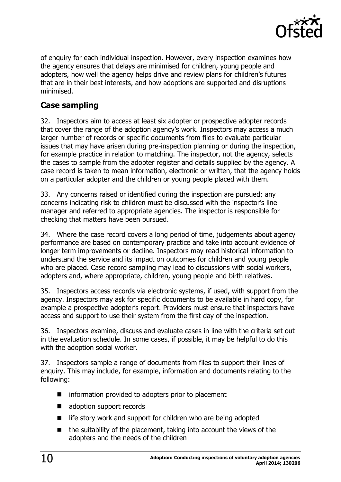

of enquiry for each individual inspection. However, every inspection examines how the agency ensures that delays are minimised for children, young people and adopters, how well the agency helps drive and review plans for children's futures that are in their best interests, and how adoptions are supported and disruptions minimised.

#### **Case sampling**

32. Inspectors aim to access at least six adopter or prospective adopter records that cover the range of the adoption agency's work. Inspectors may access a much larger number of records or specific documents from files to evaluate particular issues that may have arisen during pre-inspection planning or during the inspection, for example practice in relation to matching. The inspector, not the agency, selects the cases to sample from the adopter register and details supplied by the agency. A case record is taken to mean information, electronic or written, that the agency holds on a particular adopter and the children or young people placed with them.

33. Any concerns raised or identified during the inspection are pursued; any concerns indicating risk to children must be discussed with the inspector's line manager and referred to appropriate agencies. The inspector is responsible for checking that matters have been pursued.

34. Where the case record covers a long period of time, judgements about agency performance are based on contemporary practice and take into account evidence of longer term improvements or decline. Inspectors may read historical information to understand the service and its impact on outcomes for children and young people who are placed. Case record sampling may lead to discussions with social workers, adopters and, where appropriate, children, young people and birth relatives.

35. Inspectors access records via electronic systems, if used, with support from the agency. Inspectors may ask for specific documents to be available in hard copy, for example a prospective adopter's report. Providers must ensure that inspectors have access and support to use their system from the first day of the inspection.

36. Inspectors examine, discuss and evaluate cases in line with the criteria set out in the evaluation schedule. In some cases, if possible, it may be helpful to do this with the adoption social worker.

37. Inspectors sample a range of documents from files to support their lines of enquiry. This may include, for example, information and documents relating to the following:

- information provided to adopters prior to placement
- adoption support records
- $\blacksquare$  life story work and support for children who are being adopted
- $\blacksquare$  the suitability of the placement, taking into account the views of the adopters and the needs of the children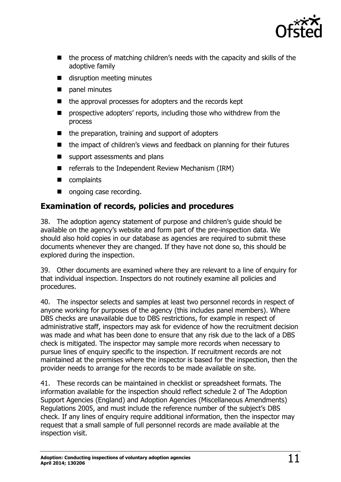

- the process of matching children's needs with the capacity and skills of the adoptive family
- disruption meeting minutes
- **panel minutes**
- the approval processes for adopters and the records kept
- **P** prospective adopters' reports, including those who withdrew from the process
- $\blacksquare$  the preparation, training and support of adopters
- the impact of children's views and feedback on planning for their futures
- support assessments and plans
- referrals to the Independent Review Mechanism (IRM)
- complaints
- ongoing case recording.

#### **Examination of records, policies and procedures**

38. The adoption agency statement of purpose and children's guide should be available on the agency's website and form part of the pre-inspection data. We should also hold copies in our database as agencies are required to submit these documents whenever they are changed. If they have not done so, this should be explored during the inspection.

39. Other documents are examined where they are relevant to a line of enquiry for that individual inspection. Inspectors do not routinely examine all policies and procedures.

40. The inspector selects and samples at least two personnel records in respect of anyone working for purposes of the agency (this includes panel members). Where DBS checks are unavailable due to DBS restrictions, for example in respect of administrative staff, inspectors may ask for evidence of how the recruitment decision was made and what has been done to ensure that any risk due to the lack of a DBS check is mitigated. The inspector may sample more records when necessary to pursue lines of enquiry specific to the inspection. If recruitment records are not maintained at the premises where the inspector is based for the inspection, then the provider needs to arrange for the records to be made available on site.

41. These records can be maintained in checklist or spreadsheet formats. The information available for the inspection should reflect schedule 2 of The Adoption Support Agencies (England) and Adoption Agencies (Miscellaneous Amendments) Regulations 2005, and must include the reference number of the subject's DBS check. If any lines of enquiry require additional information, then the inspector may request that a small sample of full personnel records are made available at the inspection visit.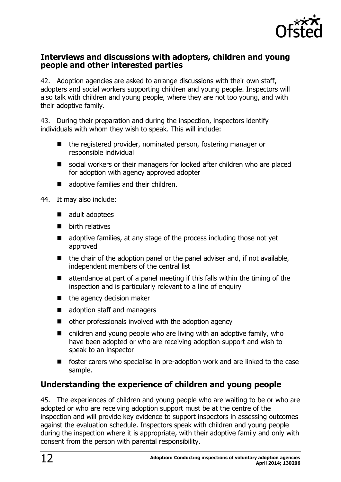

#### **Interviews and discussions with adopters, children and young people and other interested parties**

42. Adoption agencies are asked to arrange discussions with their own staff, adopters and social workers supporting children and young people. Inspectors will also talk with children and young people, where they are not too young, and with their adoptive family.

43. During their preparation and during the inspection, inspectors identify individuals with whom they wish to speak. This will include:

- the registered provider, nominated person, fostering manager or responsible individual
- social workers or their managers for looked after children who are placed for adoption with agency approved adopter
- adoptive families and their children.

44. It may also include:

- adult adoptees
- $\blacksquare$  birth relatives
- $\blacksquare$  adoptive families, at any stage of the process including those not yet approved
- $\blacksquare$  the chair of the adoption panel or the panel adviser and, if not available, independent members of the central list
- $\blacksquare$  attendance at part of a panel meeting if this falls within the timing of the inspection and is particularly relevant to a line of enquiry
- $\blacksquare$  the agency decision maker
- adoption staff and managers
- other professionals involved with the adoption agency
- $\blacksquare$  children and young people who are living with an adoptive family, who have been adopted or who are receiving adoption support and wish to speak to an inspector
- foster carers who specialise in pre-adoption work and are linked to the case sample.

#### **Understanding the experience of children and young people**

45. The experiences of children and young people who are waiting to be or who are adopted or who are receiving adoption support must be at the centre of the inspection and will provide key evidence to support inspectors in assessing outcomes against the evaluation schedule. Inspectors speak with children and young people during the inspection where it is appropriate, with their adoptive family and only with consent from the person with parental responsibility.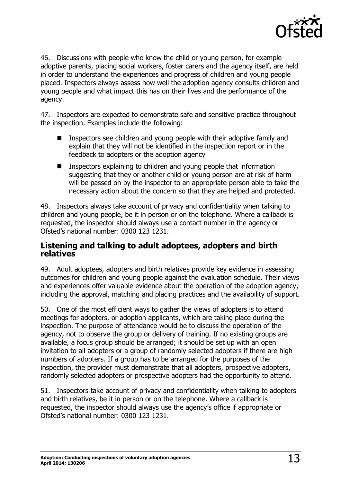

46. Discussions with people who know the child or young person, for example adoptive parents, placing social workers, foster carers and the agency itself, are held in order to understand the experiences and progress of children and young people placed. Inspectors always assess how well the adoption agency consults children and young people and what impact this has on their lives and the performance of the agency.

47. Inspectors are expected to demonstrate safe and sensitive practice throughout the inspection. Examples include the following:

- Inspectors see children and young people with their adoptive family and explain that they will not be identified in the inspection report or in the feedback to adopters or the adoption agency
- Inspectors explaining to children and young people that information suggesting that they or another child or young person are at risk of harm will be passed on by the inspector to an appropriate person able to take the necessary action about the concern so that they are helped and protected.

48. Inspectors always take account of privacy and confidentiality when talking to children and young people, be it in person or on the telephone. Where a callback is requested, the inspector should always use a contact number in the agency or Ofsted's national number: 0300 123 1231.

#### **Listening and talking to adult adoptees, adopters and birth relatives**

49. Adult adoptees, adopters and birth relatives provide key evidence in assessing outcomes for children and young people against the evaluation schedule. Their views and experiences offer valuable evidence about the operation of the adoption agency, including the approval, matching and placing practices and the availability of support.

50. One of the most efficient ways to gather the views of adopters is to attend meetings for adopters, or adoption applicants, which are taking place during the inspection. The purpose of attendance would be to discuss the operation of the agency, not to observe the group or delivery of training. If no existing groups are available, a focus group should be arranged; it should be set up with an open invitation to all adopters or a group of randomly selected adopters if there are high numbers of adopters. If a group has to be arranged for the purposes of the inspection, the provider must demonstrate that all adopters, prospective adopters, randomly selected adopters or prospective adopters had the opportunity to attend.

51. Inspectors take account of privacy and confidentiality when talking to adopters and birth relatives, be it in person or on the telephone. Where a callback is requested, the inspector should always use the agency's office if appropriate or Ofsted's national number: 0300 123 1231.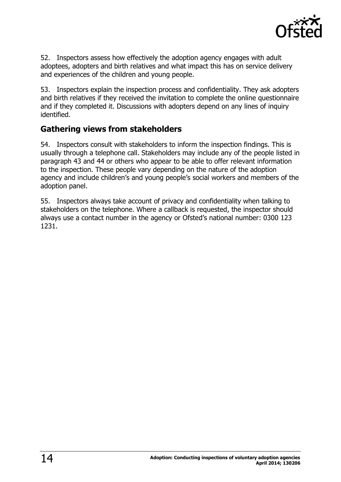

52. Inspectors assess how effectively the adoption agency engages with adult adoptees, adopters and birth relatives and what impact this has on service delivery and experiences of the children and young people.

53. Inspectors explain the inspection process and confidentiality. They ask adopters and birth relatives if they received the invitation to complete the online questionnaire and if they completed it. Discussions with adopters depend on any lines of inquiry identified.

#### **Gathering views from stakeholders**

54. Inspectors consult with stakeholders to inform the inspection findings. This is usually through a telephone call. Stakeholders may include any of the people listed in paragraph 43 and 44 or others who appear to be able to offer relevant information to the inspection. These people vary depending on the nature of the adoption agency and include children's and young people's social workers and members of the adoption panel.

55. Inspectors always take account of privacy and confidentiality when talking to stakeholders on the telephone. Where a callback is requested, the inspector should always use a contact number in the agency or Ofsted's national number: 0300 123 1231.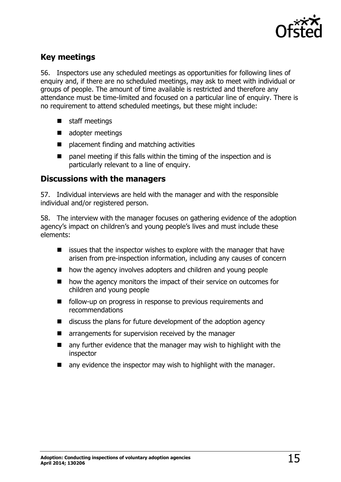

#### **Key meetings**

56. Inspectors use any scheduled meetings as opportunities for following lines of enquiry and, if there are no scheduled meetings, may ask to meet with individual or groups of people. The amount of time available is restricted and therefore any attendance must be time-limited and focused on a particular line of enguiry. There is no requirement to attend scheduled meetings, but these might include:

- staff meetings
- adopter meetings
- **P** placement finding and matching activities
- panel meeting if this falls within the timing of the inspection and is particularly relevant to a line of enquiry.

#### **Discussions with the managers**

57. Individual interviews are held with the manager and with the responsible individual and/or registered person.

58. The interview with the manager focuses on gathering evidence of the adoption agency's impact on children's and young people's lives and must include these elements:

- $\blacksquare$  issues that the inspector wishes to explore with the manager that have arisen from pre-inspection information, including any causes of concern
- how the agency involves adopters and children and young people
- how the agency monitors the impact of their service on outcomes for children and young people
- **F** follow-up on progress in response to previous requirements and recommendations
- $\blacksquare$  discuss the plans for future development of the adoption agency
- **E** arrangements for supervision received by the manager
- $\blacksquare$  any further evidence that the manager may wish to highlight with the inspector
- any evidence the inspector may wish to highlight with the manager.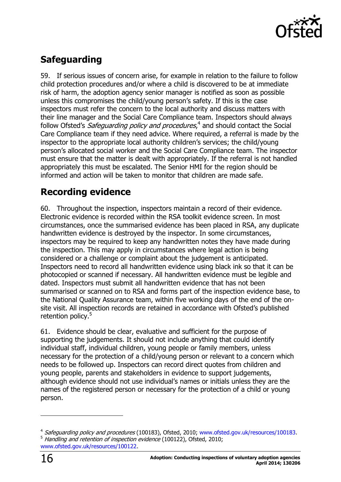

# <span id="page-15-0"></span>**Safeguarding**

59. If serious issues of concern arise, for example in relation to the failure to follow child protection procedures and/or where a child is discovered to be at immediate risk of harm, the adoption agency senior manager is notified as soon as possible unless this compromises the child/young person's safety. If this is the case inspectors must refer the concern to the local authority and discuss matters with their line manager and the Social Care Compliance team. Inspectors should always follow Ofsted's *Safeguarding policy and procedures*,<sup>4</sup> and should contact the Social Care Compliance team if they need advice. Where required, a referral is made by the inspector to the appropriate local authority children's services; the child/young person's allocated social worker and the Social Care Compliance team. The inspector must ensure that the matter is dealt with appropriately. If the referral is not handled appropriately this must be escalated. The Senior HMI for the region should be informed and action will be taken to monitor that children are made safe.

#### <span id="page-15-1"></span>**Recording evidence**

60. Throughout the inspection, inspectors maintain a record of their evidence. Electronic evidence is recorded within the RSA toolkit evidence screen. In most circumstances, once the summarised evidence has been placed in RSA, any duplicate handwritten evidence is destroyed by the inspector. In some circumstances, inspectors may be required to keep any handwritten notes they have made during the inspection. This may apply in circumstances where legal action is being considered or a challenge or complaint about the judgement is anticipated. Inspectors need to record all handwritten evidence using black ink so that it can be photocopied or scanned if necessary. All handwritten evidence must be legible and dated. Inspectors must submit all handwritten evidence that has not been summarised or scanned on to RSA and forms part of the inspection evidence base, to the National Quality Assurance team, within five working days of the end of the onsite visit. All inspection records are retained in accordance with Ofsted's published retention policy.<sup>5</sup>

61. Evidence should be clear, evaluative and sufficient for the purpose of supporting the judgements. It should not include anything that could identify individual staff, individual children, young people or family members, unless necessary for the protection of a child/young person or relevant to a concern which needs to be followed up. Inspectors can record direct quotes from children and young people, parents and stakeholders in evidence to support judgements, although evidence should not use individual's names or initials unless they are the names of the registered person or necessary for the protection of a child or young person.

-

<sup>&</sup>lt;sup>4</sup> Safeguarding policy and procedures (100183), Ofsted, 2010; [www.ofsted.gov.uk/resources/100183.](http://www.ofsted.gov.uk/resources/100183) 5 Handling and retention of inspection evidence (100122), Ofsted, 2010; [www.ofsted.gov.uk/resources/100122.](http://www.ofsted.gov.uk/resources/100122)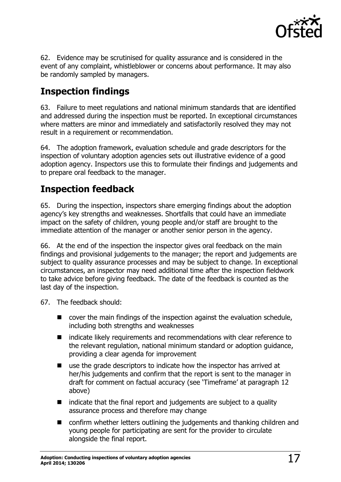

62. Evidence may be scrutinised for quality assurance and is considered in the event of any complaint, whistleblower or concerns about performance. It may also be randomly sampled by managers.

# <span id="page-16-0"></span>**Inspection findings**

63. Failure to meet regulations and national minimum standards that are identified and addressed during the inspection must be reported. In exceptional circumstances where matters are minor and immediately and satisfactorily resolved they may not result in a requirement or recommendation.

64. The adoption framework, evaluation schedule and grade descriptors for the inspection of voluntary adoption agencies sets out illustrative evidence of a good adoption agency. Inspectors use this to formulate their findings and judgements and to prepare oral feedback to the manager.

### <span id="page-16-1"></span>**Inspection feedback**

65. During the inspection, inspectors share emerging findings about the adoption agency's key strengths and weaknesses. Shortfalls that could have an immediate impact on the safety of children, young people and/or staff are brought to the immediate attention of the manager or another senior person in the agency.

66. At the end of the inspection the inspector gives oral feedback on the main findings and provisional judgements to the manager; the report and judgements are subject to quality assurance processes and may be subject to change. In exceptional circumstances, an inspector may need additional time after the inspection fieldwork to take advice before giving feedback. The date of the feedback is counted as the last day of the inspection.

- 67. The feedback should:
	- $\Box$  cover the main findings of the inspection against the evaluation schedule, including both strengths and weaknesses
	- indicate likely requirements and recommendations with clear reference to the relevant regulation, national minimum standard or adoption guidance, providing a clear agenda for improvement
	- use the grade descriptors to indicate how the inspector has arrived at her/his judgements and confirm that the report is sent to the manager in draft for comment on factual accuracy (see 'Timeframe' at paragraph 12 above)
	- $\blacksquare$  indicate that the final report and judgements are subject to a quality assurance process and therefore may change
	- confirm whether letters outlining the judgements and thanking children and young people for participating are sent for the provider to circulate alongside the final report.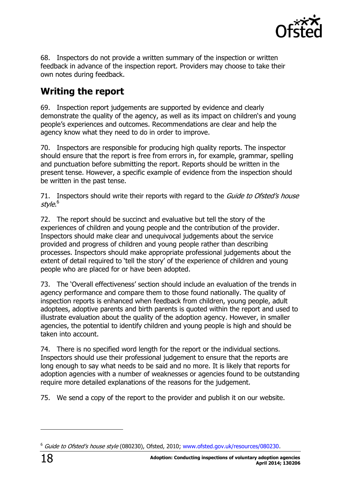

68. Inspectors do not provide a written summary of the inspection or written feedback in advance of the inspection report. Providers may choose to take their own notes during feedback.

### <span id="page-17-0"></span>**Writing the report**

69. Inspection report judgements are supported by evidence and clearly demonstrate the quality of the agency, as well as its impact on children's and young people's experiences and outcomes. Recommendations are clear and help the agency know what they need to do in order to improve.

70. Inspectors are responsible for producing high quality reports. The inspector should ensure that the report is free from errors in, for example, grammar, spelling and punctuation before submitting the report. Reports should be written in the present tense. However, a specific example of evidence from the inspection should be written in the past tense.

71. Inspectors should write their reports with regard to the *Guide to Ofsted's house* style.<sup>6</sup>

72. The report should be succinct and evaluative but tell the story of the experiences of children and young people and the contribution of the provider. Inspectors should make clear and unequivocal judgements about the service provided and progress of children and young people rather than describing processes. Inspectors should make appropriate professional judgements about the extent of detail required to 'tell the story' of the experience of children and young people who are placed for or have been adopted.

73. The 'Overall effectiveness' section should include an evaluation of the trends in agency performance and compare them to those found nationally. The quality of inspection reports is enhanced when feedback from children, young people, adult adoptees, adoptive parents and birth parents is quoted within the report and used to illustrate evaluation about the quality of the adoption agency. However, in smaller agencies, the potential to identify children and young people is high and should be taken into account.

74. There is no specified word length for the report or the individual sections. Inspectors should use their professional judgement to ensure that the reports are long enough to say what needs to be said and no more. It is likely that reports for adoption agencies with a number of weaknesses or agencies found to be outstanding require more detailed explanations of the reasons for the judgement.

75. We send a copy of the report to the provider and publish it on our website.

j

<sup>&</sup>lt;sup>6</sup> Guide to Ofsted's house style (080230), Ofsted, 2010; [www.ofsted.gov.uk/resources/080230.](http://www.ofsted.gov.uk/resources/080230)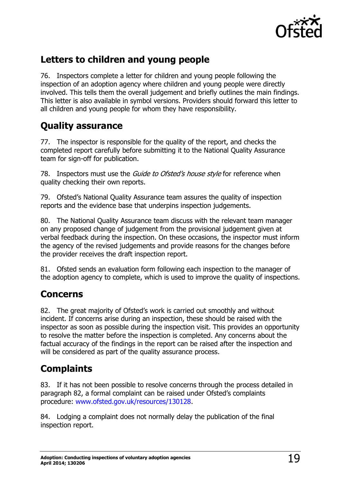

### <span id="page-18-0"></span>**Letters to children and young people**

76. Inspectors complete a letter for children and young people following the inspection of an adoption agency where children and young people were directly involved. This tells them the overall judgement and briefly outlines the main findings. This letter is also available in symbol versions. Providers should forward this letter to all children and young people for whom they have responsibility.

#### <span id="page-18-1"></span>**Quality assurance**

77. The inspector is responsible for the quality of the report, and checks the completed report carefully before submitting it to the National Quality Assurance team for sign-off for publication.

78. Inspectors must use the *Guide to Ofsted's house style* for reference when quality checking their own reports.

79. Ofsted's National Quality Assurance team assures the quality of inspection reports and the evidence base that underpins inspection judgements.

80. The National Quality Assurance team discuss with the relevant team manager on any proposed change of judgement from the provisional judgement given at verbal feedback during the inspection. On these occasions, the inspector must inform the agency of the revised judgements and provide reasons for the changes before the provider receives the draft inspection report.

81. Ofsted sends an evaluation form following each inspection to the manager of the adoption agency to complete, which is used to improve the quality of inspections.

#### <span id="page-18-2"></span>**Concerns**

82. The great majority of Ofsted's work is carried out smoothly and without incident. If concerns arise during an inspection, these should be raised with the inspector as soon as possible during the inspection visit. This provides an opportunity to resolve the matter before the inspection is completed. Any concerns about the factual accuracy of the findings in the report can be raised after the inspection and will be considered as part of the quality assurance process.

### <span id="page-18-3"></span>**Complaints**

83. If it has not been possible to resolve concerns through the process detailed in paragraph 82, a formal complaint can be raised under Ofsted's complaints procedure: [www.ofsted.gov.uk/resources/130128.](http://www.ofsted.gov.uk/resources/130128)

84. Lodging a complaint does not normally delay the publication of the final inspection report.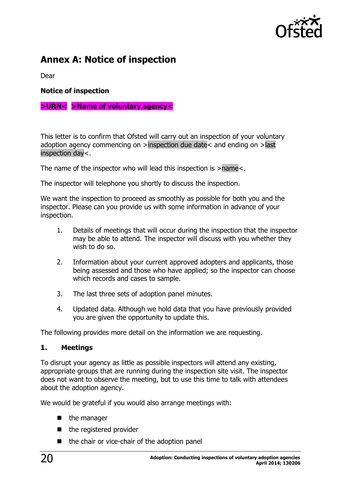

# <span id="page-19-0"></span>**Annex A: Notice of inspection**

Dear

**Notice of inspection**

#### **>URN< >Name of voluntary agency<**

This letter is to confirm that Ofsted will carry out an inspection of your voluntary adoption agency commencing on >inspection due date< and ending on >last inspection day<.

The name of the inspector who will lead this inspection is >name<.

The inspector will telephone you shortly to discuss the inspection.

We want the inspection to proceed as smoothly as possible for both you and the inspector. Please can you provide us with some information in advance of your inspection.

- 1. Details of meetings that will occur during the inspection that the inspector may be able to attend. The inspector will discuss with you whether they wish to do so.
- 2. Information about your current approved adopters and applicants, those being assessed and those who have applied; so the inspector can choose which records and cases to sample.
- 3. The last three sets of adoption panel minutes.
- 4. Updated data. Although we hold data that you have previously provided you are given the opportunity to update this.

The following provides more detail on the information we are requesting.

#### **1. Meetings**

To disrupt your agency as little as possible inspectors will attend any existing, appropriate groups that are running during the inspection site visit. The inspector does not want to observe the meeting, but to use this time to talk with attendees about the adoption agency.

We would be grateful if you would also arrange meetings with:

- $\blacksquare$  the manager
- $\blacksquare$  the registered provider
- the chair or vice-chair of the adoption panel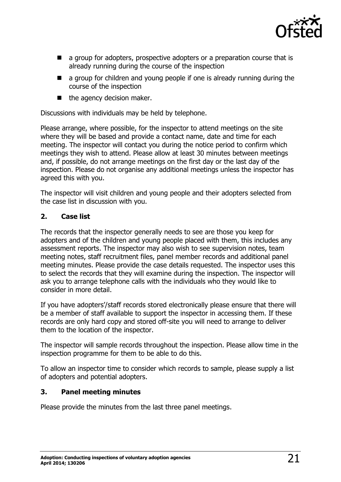

- **a** a group for adopters, prospective adopters or a preparation course that is already running during the course of the inspection
- **a** a group for children and young people if one is already running during the course of the inspection
- $\blacksquare$  the agency decision maker.

Discussions with individuals may be held by telephone.

Please arrange, where possible, for the inspector to attend meetings on the site where they will be based and provide a contact name, date and time for each meeting. The inspector will contact you during the notice period to confirm which meetings they wish to attend. Please allow at least 30 minutes between meetings and, if possible, do not arrange meetings on the first day or the last day of the inspection. Please do not organise any additional meetings unless the inspector has agreed this with you.

The inspector will visit children and young people and their adopters selected from the case list in discussion with you.

#### **2. Case list**

The records that the inspector generally needs to see are those you keep for adopters and of the children and young people placed with them, this includes any assessment reports. The inspector may also wish to see supervision notes, team meeting notes, staff recruitment files, panel member records and additional panel meeting minutes. Please provide the case details requested. The inspector uses this to select the records that they will examine during the inspection. The inspector will ask you to arrange telephone calls with the individuals who they would like to consider in more detail.

If you have adopters'/staff records stored electronically please ensure that there will be a member of staff available to support the inspector in accessing them. If these records are only hard copy and stored off-site you will need to arrange to deliver them to the location of the inspector.

The inspector will sample records throughout the inspection. Please allow time in the inspection programme for them to be able to do this.

To allow an inspector time to consider which records to sample, please supply a list of adopters and potential adopters.

#### **3. Panel meeting minutes**

Please provide the minutes from the last three panel meetings.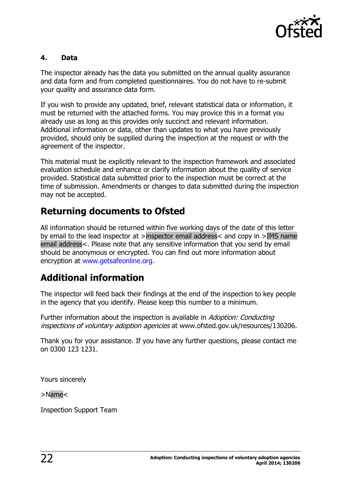

#### **4. Data**

The inspector already has the data you submitted on the annual quality assurance and data form and from completed questionnaires. You do not have to re-submit your quality and assurance data form.

If you wish to provide any updated, brief, relevant statistical data or information, it must be returned with the attached forms. You may provice this in a format you already use as long as this provides only succinct and relevant information. Additional information or data, other than updates to what you have previously provided, should only be supplied during the inspection at the request or with the agreement of the inspector.

This material must be explicitly relevant to the inspection framework and associated evaluation schedule and enhance or clarify information about the quality of service provided. Statistical data submitted prior to the inspection must be correct at the time of submission. Amendments or changes to data submitted during the inspection may not be accepted.

#### **Returning documents to Ofsted**

All information should be returned within five working days of the date of this letter by email to the lead inspector at >inspector email address< and copy in >IMS name email address<. Please note that any sensitive information that you send by email should be anonymous or encrypted. You can find out more information about encryption at [www.getsafeonline.org.](http://www.getsafeonline.org/)

### **Additional information**

The inspector will feed back their findings at the end of the inspection to key people in the agency that you identify. Please keep this number to a minimum.

Further information about the inspection is available in Adoption: Conducting inspections of voluntary adoption agencies at www.ofsted.gov.uk/resources/130206.

Thank you for your assistance. If you have any further questions, please contact me on 0300 123 1231.

Yours sincerely

>Name<

Inspection Support Team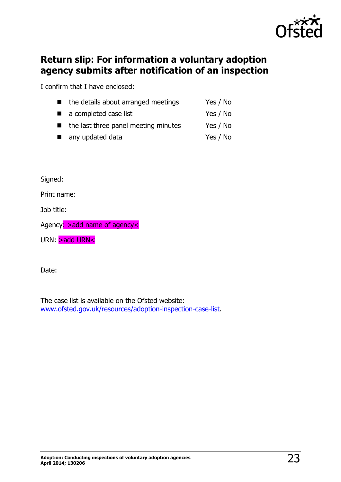

#### <span id="page-22-0"></span>**Return slip: For information a voluntary adoption agency submits after notification of an inspection**

I confirm that I have enclosed:

| $\blacksquare$ | the details about arranged meetings                 | Yes / No |
|----------------|-----------------------------------------------------|----------|
|                | a completed case list                               | Yes / No |
|                | $\blacksquare$ the last three panel meeting minutes | Yes / No |
|                | any updated data                                    | Yes / No |

Signed:

Print name:

Job title:

Agency: > add name of agency<

URN: **>add URN<** 

Date:

The case list is available on the Ofsted website: [www.ofsted.gov.uk/resources/adoption-inspection-case-list.](http://www.ofsted.gov.uk/resources/adoption-inspection-case-list)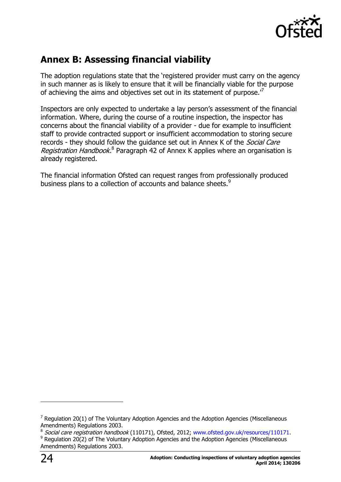

# <span id="page-23-0"></span>**Annex B: Assessing financial viability**

The adoption regulations state that the 'registered provider must carry on the agency in such manner as is likely to ensure that it will be financially viable for the purpose of achieving the aims and objectives set out in its statement of purpose.<sup>7</sup>

Inspectors are only expected to undertake a lay person's assessment of the financial information. Where, during the course of a routine inspection, the inspector has concerns about the financial viability of a provider - due for example to insufficient staff to provide contracted support or insufficient accommodation to storing secure records - they should follow the quidance set out in Annex K of the *Social Care* Registration Handbook.<sup>8</sup> Paragraph 42 of Annex K applies where an organisation is already registered.

The financial information Ofsted can request ranges from professionally produced business plans to a collection of accounts and balance sheets.<sup>9</sup>

 $\overline{a}$ 

 $7$  Regulation 20(1) of The Voluntary Adoption Agencies and the Adoption Agencies (Miscellaneous Amendments) Regulations 2003.

<sup>&</sup>lt;sup>8</sup> Social care registration handbook (110171), Ofsted, 2012; [www.ofsted.gov.uk/resources/110171.](http://www.ofsted.gov.uk/resources/110171) 9 Regulation 20(2) of The Voluntary Adoption Agencies and the Adoption Agencies (Miscellaneous Amendments) Regulations 2003.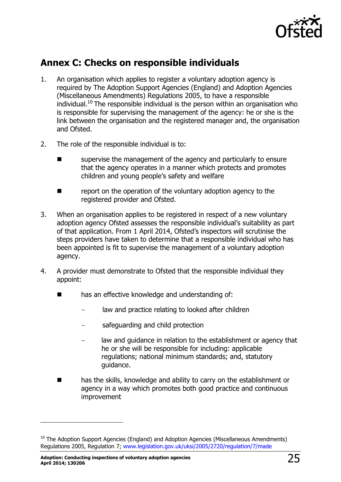

#### <span id="page-24-0"></span>**Annex C: Checks on responsible individuals**

- 1. An organisation which applies to register a voluntary adoption agency is required by The Adoption Support Agencies (England) and Adoption Agencies (Miscellaneous Amendments) Regulations 2005, to have a responsible  $\mu$ individual.<sup>10</sup> The responsible individual is the person within an organisation who is responsible for supervising the management of the agency: he or she is the link between the organisation and the registered manager and, the organisation and Ofsted.
- 2. The role of the responsible individual is to:
	- supervise the management of the agency and particularly to ensure that the agency operates in a manner which protects and promotes children and young people's safety and welfare
	- report on the operation of the voluntary adoption agency to the registered provider and Ofsted.
- 3. When an organisation applies to be registered in respect of a new voluntary adoption agency Ofsted assesses the responsible individual's suitability as part of that application. From 1 April 2014, Ofsted's inspectors will scrutinise the steps providers have taken to determine that a responsible individual who has been appointed is fit to supervise the management of a voluntary adoption agency.
- 4. A provider must demonstrate to Ofsted that the responsible individual they appoint:
	- has an effective knowledge and understanding of:
		- law and practice relating to looked after children
		- safeguarding and child protection
		- law and guidance in relation to the establishment or agency that he or she will be responsible for including: applicable regulations; national minimum standards; and, statutory guidance.
	- has the skills, knowledge and ability to carry on the establishment or agency in a way which promotes both good practice and continuous improvement

j

 $10$  The Adoption Support Agencies (England) and Adoption Agencies (Miscellaneous Amendments) Regulations 2005, Regulation 7; [www.legislation.gov.uk/uksi/2005/2720/regulation/7/made](http://www.legislation.gov.uk/uksi/2005/2720/regulation/7/made)